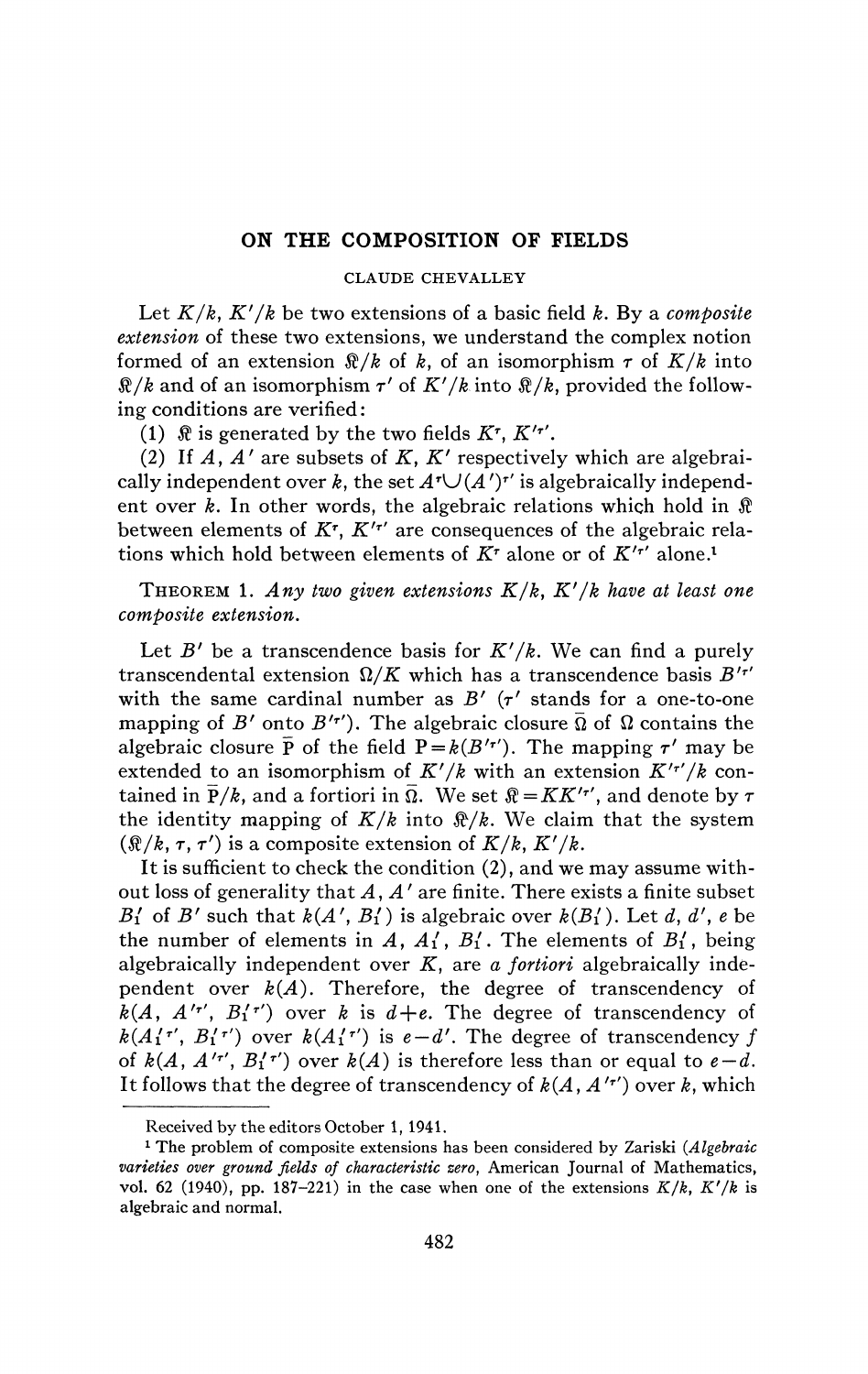## ON THE COMPOSITION OF FIELDS

## CLAUDE CHEVALLEY

Let *K/k, K'/k* be two extensions of a basic field *k.* By a *composite extension* of these two extensions, we understand the complex notion formed of an extension  $\Re/k$  of k, of an isomorphism  $\tau$  of  $K/k$  into  $\Re/k$  and of an isomorphism  $\tau'$  of  $K'/k$  into  $\Re/k$ , provided the following conditions are verified :

(1)  $\Re$  is generated by the two fields  $K^{\tau}$ ,  $K'^{\tau'}$ .

(2) *If A, A'* are subsets of *K, K'* respectively which are algebraically independent over  $k$ , the set  $A^{\dagger} \cup (A')^{\dagger}$  is algebraically independent over  $k$ . In other words, the algebraic relations which hold in  $\Re$ between elements of *K<sup>T</sup> , K'<sup>r</sup> '* are consequences of the algebraic relations which hold between elements of *K<sup>T</sup>* alone or of *K'<sup>T</sup> '* alone.<sup>1</sup>

THEOREM 1. Any two given extensions  $K/k$ ,  $K'/k$  have at least one *composite extension.* 

Let  $B'$  be a transcendence basis for  $K'/k$ . We can find a purely transcendental extension  $\Omega/K$  which has a transcendence basis  $B'$ <sup>*r'*</sup> with the same cardinal number as  $B'$  ( $\tau'$  stands for a one-to-one mapping of *B'* onto *B'<sup><i>r'*</sup></sup>). The algebraic closure  $\overline{\Omega}$  of  $\Omega$  contains the algebraic closure  $\bar{P}$  of the field  $P = k(B'^{r'})$ . The mapping  $\tau'$  may be extended to an isomorphism of  $K'/k$  with an extension  $K'^{r'}/k$  contained in  $\bar{P}/k$ , and a fortiori in  $\bar{\Omega}$ . We set  $\hat{\mathcal{R}} = KK'^{r'}$ , and denote by  $\tau$ the identity mapping of  $K/k$  into  $\Re/k$ . We claim that the system  $(\Re/k, \tau, \tau')$  is a composite extension of  $K/k$ ,  $K'/k$ .

It is sufficient to check the condition (2), and we may assume without loss of generality that *A, A'* are finite. There exists a finite subset  $B'_1$  of  $B'$  such that  $k(A', B'_1)$  is algebraic over  $k(B'_1)$ . Let  $d, d', e$  be the number of elements in  $A$ ,  $A'_1$ ,  $B'_1$ . The elements of  $B'_1$ , being algebraically independent over *K,* are *a fortiori* algebraically independent over  $k(A)$ . Therefore, the degree of transcendency of  $\overline{k}(A, A'^{\tau'}, B'^{\tau'})$  over *k* is  $d+e$ . The degree of transcendency of  $k(A_1'$ <sup>*T'*</sup>,  $B_1'$ <sup>*T'*</sup>) over  $k(A_1'$ <sup>*T'*</sup>) is  $e - d'$ . The degree of transcendency  $f$ of  $k(A, A'^{\tau'}, B_1'^{\tau'})$  over  $k(A)$  is therefore less than or equal to  $e-d$ . It follows that the degree of transcendency of  $k(A, A'$ <sup>*T'*</sup>) over *k*, which

Received by the editors October 1, 1941.

<sup>1</sup> The problem of composite extensions has been considered by Zariski *(Algebraic varieties over ground fields of characteristic zero,* American Journal of Mathematics, vol. 62 (1940), pp. 187-221) in the case when one of the extensions  $K/k$ ,  $K'/k$  is algebraic and normal.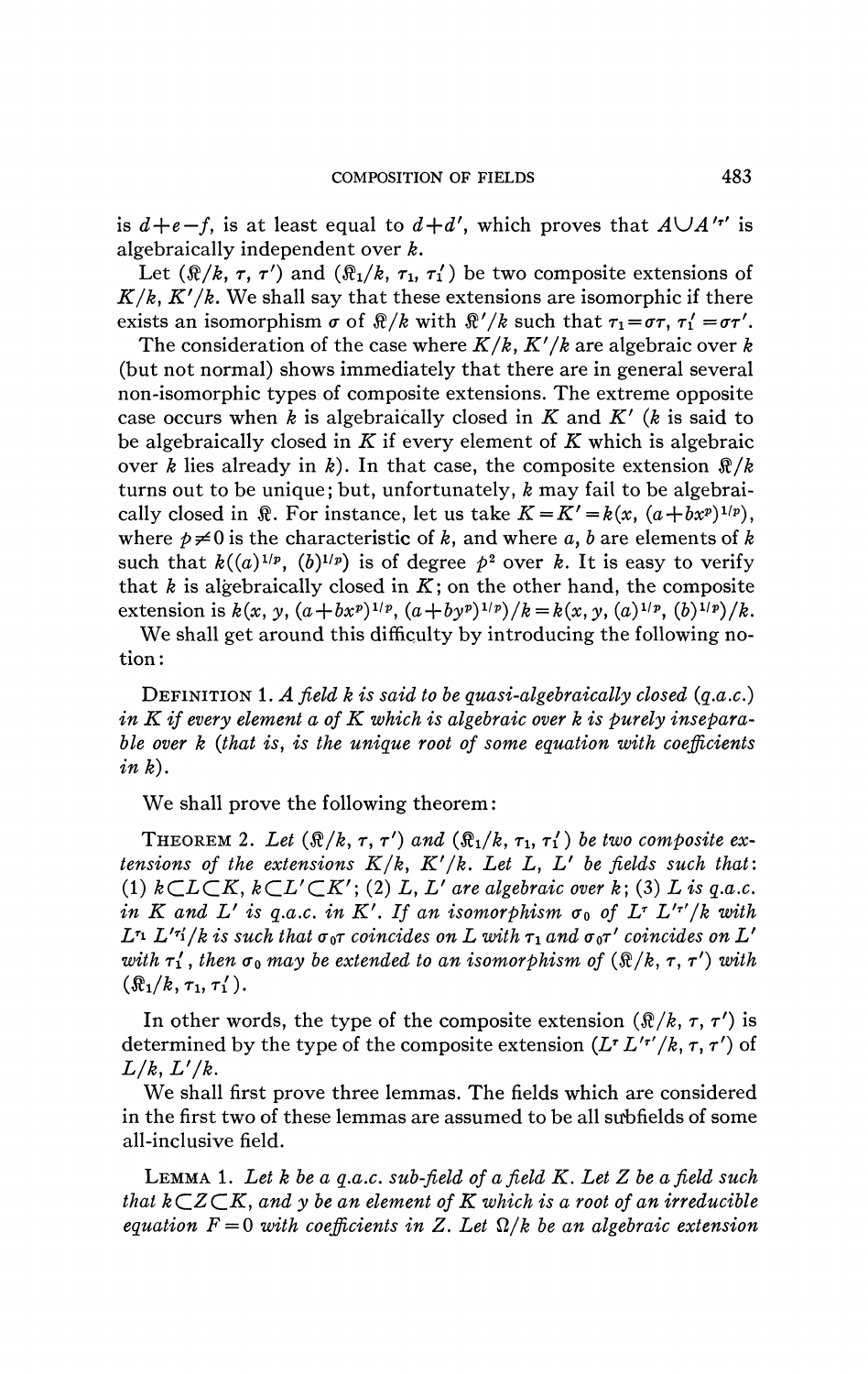is  $d+e-f$ , is at least equal to  $d+d'$ , which proves that  $A\cup A'$  *i*' is algebraically independent over *k.* 

Let  $(\mathbb{R}/k, \tau, \tau')$  and  $(\mathbb{R}/k, \tau_1, \tau'_1)$  be two composite extensions of  $K/k$ ,  $K'/k$ . We shall say that these extensions are isomorphic if there exists an isomorphism  $\sigma$  of  $\Re/k$  with  $\Re'/k$  such that  $\tau_1 = \sigma \tau$ ,  $\tau'_1 = \sigma \tau'$ .

The consideration of the case where *K/k, K'/k* are algebraic over *k*  (but not normal) shows immediately that there are in general several non-isomorphic types of composite extensions. The extreme opposite case occurs when *k* is algebraically closed in *K* and *K' (k* is said to be algebraically closed in *K* if every element of *K* which is algebraic over *k* lies already in *k).* In that case, the composite extension *\$/k*  turns out to be unique; but, unfortunately, *k* may fail to be algebraically closed in  $\mathbb{R}$ . For instance, let us take  $K = K' = k(x, (a + bx^p)^{1/p})$ , where  $p \neq 0$  is the characteristic of k, and where a, b are elements of k such that  $k((a)^{1/p}, (b)^{1/p})$  is of degree  $p^2$  over k. It is easy to verify that  $k$  is algebraically closed in  $K$ ; on the other hand, the composite extension is  $k(x, y, (a+bx^p)^{1/p}, (a+by^p)^{1/p})/k = k(x, y, (a)^{1/p}, (b)^{1/p})/k$ .

We shall get around this difficulty by introducing the following notion :

DEFINITION 1. *A field k is said to be quasi-algebraically closed (q.a.c.) in K if every element a of K which is algebraic over k is purely inseparable over k (that is, is the unique root of some equation with coefficients in k).* 

We shall prove the following theorem :

THEOREM 2. Let  $(\Re/k, \tau, \tau')$  and  $(\Re_1/k, \tau_1, \tau'_1)$  be two composite ex*tensions of the extensions K/k, K'/k. Let L, L<sup>f</sup> be fields such that:*  (1)  $kCLCK, kCL'CK'$ ; (2) L, L' are algebraic over k; (3) L is q.a.c. *in*  $K$  and  $L'$  is q.a.c. in  $K'$ . If an isomorphism  $\sigma_0$  of  $L^{\tau} L'^{\tau'}/k$  with  $L$ <sup>r</sup>i  $L$ <sup>*i*-ri</sup>/ $k$  is such that  $\sigma$ <sub>0</sub> $\tau$  coincides on  $L$  with  $\tau_1$  and  $\sigma$ <sub>0</sub> $\tau'$  coincides on  $L'$ *with*  $\tau'$ , then  $\sigma_0$  may be extended to an isomorphism of  $(\Re/k, \tau, \tau')$  with  $(\Re_1/k, \tau_1, \tau'_1).$ 

In other words, the type of the composite extension  $(\Re/k, \tau, \tau')$  is determined by the type of the composite extension  $(L^r L'^{r'}/k, \tau, \tau')$  of  $L/k$ ,  $L'/k$ .

We shall first prove three lemmas. The fields which are considered in the first two of these lemmas are assumed to be all subfields of some all-inclusive field.

LEMMA 1. *Let k be a q.a.c. sub-field of a field K. Let Z be afield such that*  $k\subset Z\subset K$ , and y be an element of K which is a root of an irreducible *equation*  $F = 0$  with coefficients in Z. Let  $\Omega/k$  be an algebraic extension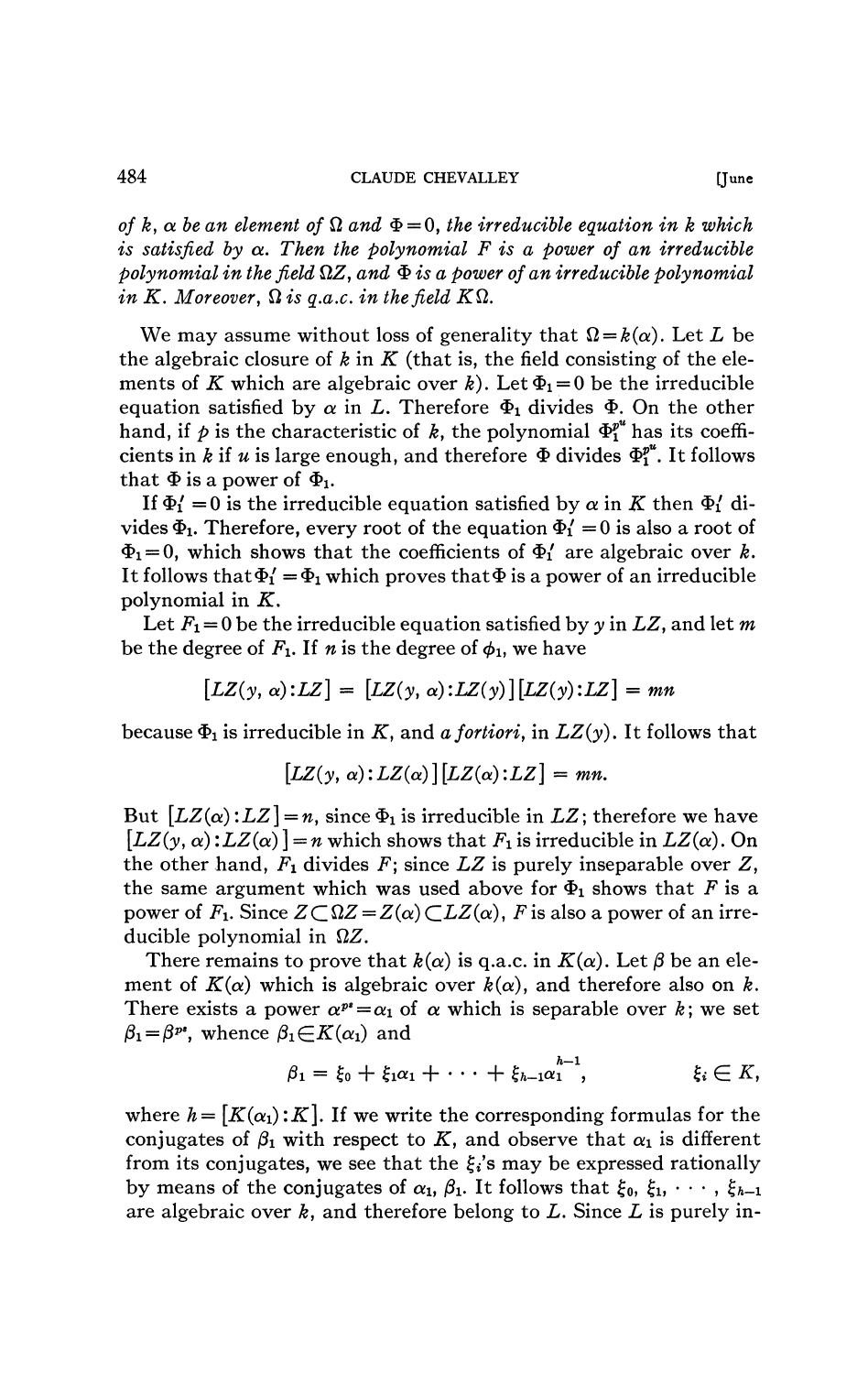*of*  $k$ ,  $\alpha$  be an element of  $\Omega$  and  $\Phi = 0$ , the irreducible equation in k which *is satisfied by*  $\alpha$ *. Then the polynomial F is a power of an irreducible polynomial in the field* flZ, *and \$is a power of an irreducible polynomial in K. Moreover,*  $\Omega$  *is q.a.c. in the field K* $\Omega$ *.* 

We may assume without loss of generality that  $\Omega = k(\alpha)$ . Let L be the algebraic closure of  $k$  in  $K$  (that is, the field consisting of the elements of K which are algebraic over k). Let  $\Phi_1 = 0$  be the irreducible equation satisfied by  $\alpha$  in *L*. Therefore  $\Phi_1$  divides  $\Phi$ . On the other hand, if  $p$  is the characteristic of  $k$ , the polynomial  $\Phi_1^{p^u}$  has its coefficients in *k* if *u* is large enough, and therefore  $\Phi$  divides  $\Phi_1^{p^u}$ . It follows that  $\Phi$  is a power of  $\Phi_1$ .

If  $\Phi_1' = 0$  is the irreducible equation satisfied by  $\alpha$  in K then  $\Phi_1'$  divides  $\Phi_1$ . Therefore, every root of the equation  $\Phi_1' = 0$  is also a root of  $\Phi_1 = 0$ , which shows that the coefficients of  $\Phi'_1$  are algebraic over *k*. It follows that  $\Phi'_1 = \Phi_1$  which proves that  $\Phi$  is a power of an irreducible polynomial in *K.* 

Let *Fi =* 0 be the irreducible equation satisfied by *y* in *LZ,* and let *m*  be the degree of  $F_1$ . If *n* is the degree of  $\phi_1$ , we have

$$
[LZ(y, \alpha):LZ] = [LZ(y, \alpha):LZ(y)][LZ(y):LZ] = mn
$$

because  $\Phi_1$  is irreducible in K, and a fortiori, in  $LZ(y)$ . It follows that

$$
[LZ(y, \alpha):LZ(\alpha)][LZ(\alpha):LZ]=mn.
$$

But  $\left[LZ(\alpha):LZ\right]=n$ , since  $\Phi_1$  is irreducible in  $LZ$ ; therefore we have  $[LZ(y, \alpha): LZ(\alpha)] = n$  which shows that  $F_1$  is irreducible in  $LZ(\alpha)$ . On the other hand,  $F_1$  divides  $F$ ; since  $LZ$  is purely inseparable over  $Z$ , the same argument which was used above for  $\Phi_1$  shows that F is a power of  $F_1$ . Since  $Z \subset \Omega Z = Z(\alpha) \subset LZ(\alpha)$ , F is also a power of an irreducible polynomial in  $\Omega Z$ .

There remains to prove that  $k(\alpha)$  is q.a.c. in  $K(\alpha)$ . Let  $\beta$  be an element of  $K(\alpha)$  which is algebraic over  $k(\alpha)$ , and therefore also on k. There exists a power  $\alpha^{p*} = \alpha_1$  of  $\alpha$  which is separable over  $k$ ; we set  $\beta_1 = \beta^{p*}$ , whence  $\beta_1 \in K(\alpha_1)$  and

$$
\beta_1=\xi_0+\xi_1\alpha_1+\cdots+\xi_{h-1}\alpha_1^{\qquad \qquad h-1},\qquad \qquad \xi_i\in K,
$$

where  $h = [K(\alpha_1):K]$ . If we write the corresponding formulas for the conjugates of  $\beta_1$  with respect to K, and observe that  $\alpha_1$  is different from its conjugates, we see that the  $\xi_i$ 's may be expressed rationally by means of the conjugates of  $\alpha_1$ ,  $\beta_1$ . It follows that  $\xi_0$ ,  $\xi_1$ ,  $\dots$ ,  $\xi_{h-1}$ are algebraic over *k,* and therefore belong to *L.* Since *L* is purely in-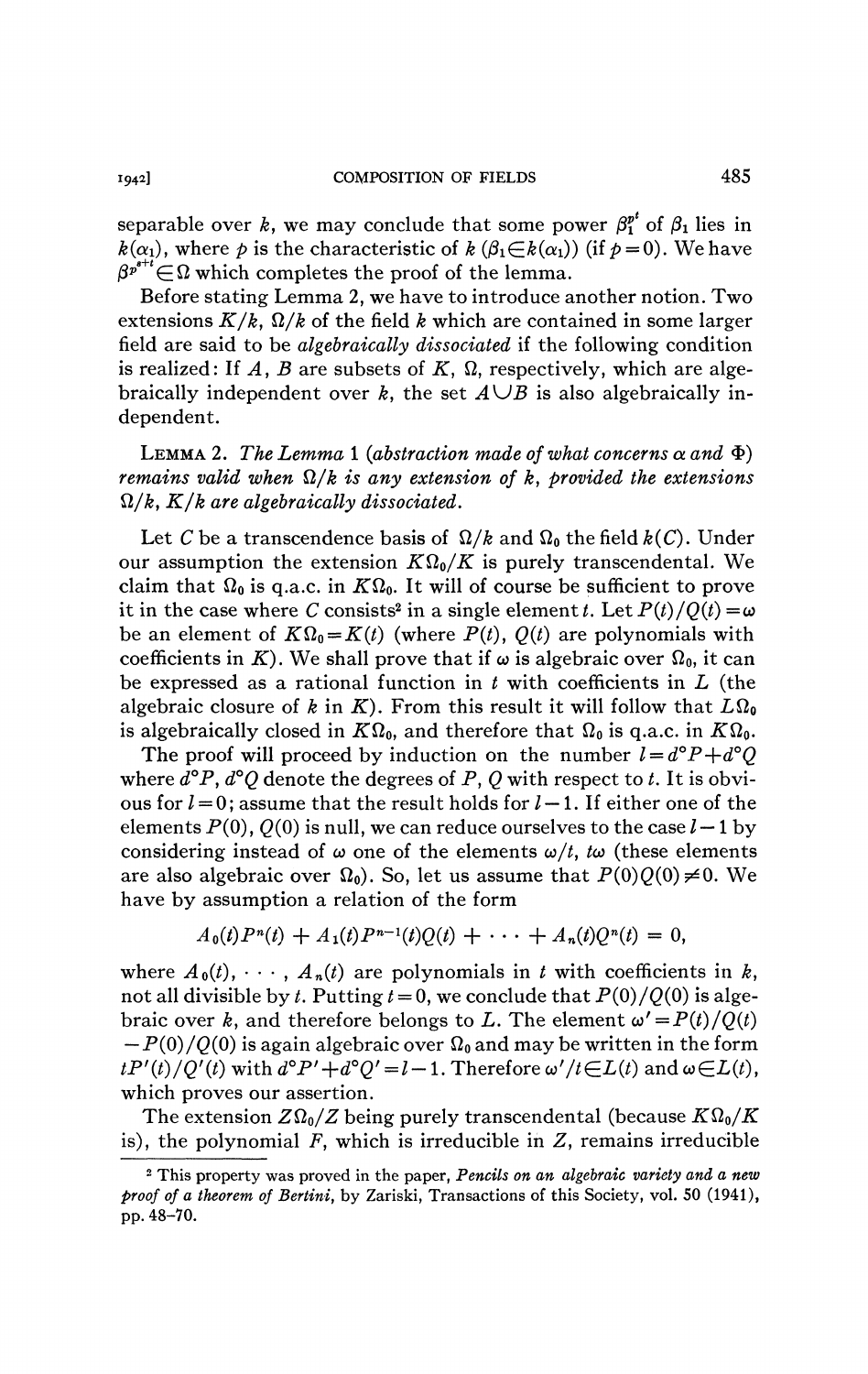separable over *k*, we may conclude that some power  $\beta_1^{p^t}$  of  $\beta_1$  lies in  $k(\alpha_1)$ , where p is the characteristic of  $k(\beta_1 \in k(\alpha_1))$  (if  $p=0$ ). We have  $\beta^{p^{s+t}} \in \Omega$  which completes the proof of the lemma.

Before stating Lemma 2, we have to introduce another notion. Two extensions  $K/k$ ,  $\Omega/k$  of the field k which are contained in some larger field are said to be *algebraically dissociated* if the following condition is realized: If  $A$ ,  $B$  are subsets of  $K$ ,  $\Omega$ , respectively, which are algebraically independent over *k*, the set  $A \cup B$  is also algebraically independent.

LEMMA 2. The Lemma 1 (abstraction made of what concerns  $\alpha$  and  $\Phi$ ) *remains valid when*  $\Omega/k$  *is any extension of k, provided the extensions 0,/k, K/k are algebraically dissociated.* 

Let *C* be a transcendence basis of  $\Omega/k$  and  $\Omega_0$  the field  $k(C)$ . Under our assumption the extension  $K\Omega_0/K$  is purely transcendental. We claim that  $\Omega_0$  is q.a.c. in  $K\Omega_0$ . It will of course be sufficient to prove it in the case where *C* consists<sup>2</sup> in a single element *t*. Let  $P(t)/Q(t) = \omega$ be an element of  $K\Omega_0 = K(t)$  (where  $P(t)$ ,  $Q(t)$  are polynomials with coefficients in K). We shall prove that if  $\omega$  is algebraic over  $\Omega_0$ , it can be expressed as a rational function in *t* with coefficients in *L* (the algebraic closure of *k* in *K*). From this result it will follow that  $L\Omega_0$ is algebraically closed in  $K\Omega_0$ , and therefore that  $\Omega_0$  is q.a.c. in  $K\Omega_0$ .

The proof will proceed by induction on the number  $l = d^{\circ}P + d^{\circ}Q$ where *d°P, d°Q* denote the degrees of P, *Q* with respect to *t.* It is obvious for *I* = 0; assume that the result holds for *I —* 1. If either one of the elements  $P(0)$ ,  $Q(0)$  is null, we can reduce ourselves to the case  $l-1$  by considering instead of  $\omega$  one of the elements  $\omega/t$ ,  $t\omega$  (these elements are also algebraic over  $\Omega_0$ ). So, let us assume that  $P(0)Q(0)\neq0$ . We have by assumption a relation of the form

$$
A_0(t)P^{n}(t) + A_1(t)P^{n-1}(t)Q(t) + \cdots + A_n(t)Q^{n}(t) = 0,
$$

where  $A_0(t)$ ,  $\cdots$ ,  $A_n(t)$  are polynomials in *t* with coefficients in *k*, not all divisible by *t*. Putting  $t = 0$ , we conclude that  $P(0)/Q(0)$  is algebraic over *k*, and therefore belongs to *L*. The element  $\omega' = P(t)/Q(t)$  $-P(0)/Q(0)$  is again algebraic over  $\Omega_0$  and may be written in the form  $tP'(t)/Q'(t)$  with  $d^{\circ}P'+d^{\circ}Q'=l-1$ . Therefore  $\omega'/t\in L(t)$  and  $\omega\in L(t)$ , which proves our assertion.

The extension  $Z\Omega_0/Z$  being purely transcendental (because  $K\Omega_0/K$ is), the polynomial  $F$ , which is irreducible in  $Z$ , remains irreducible

<sup>2</sup> This property was proved in the paper, *Pencils on an algebraic variety and a new proof of a theorem of Bertini,* by Zariski, Transactions of this Society, vol. 50 (1941), pp. 48-70.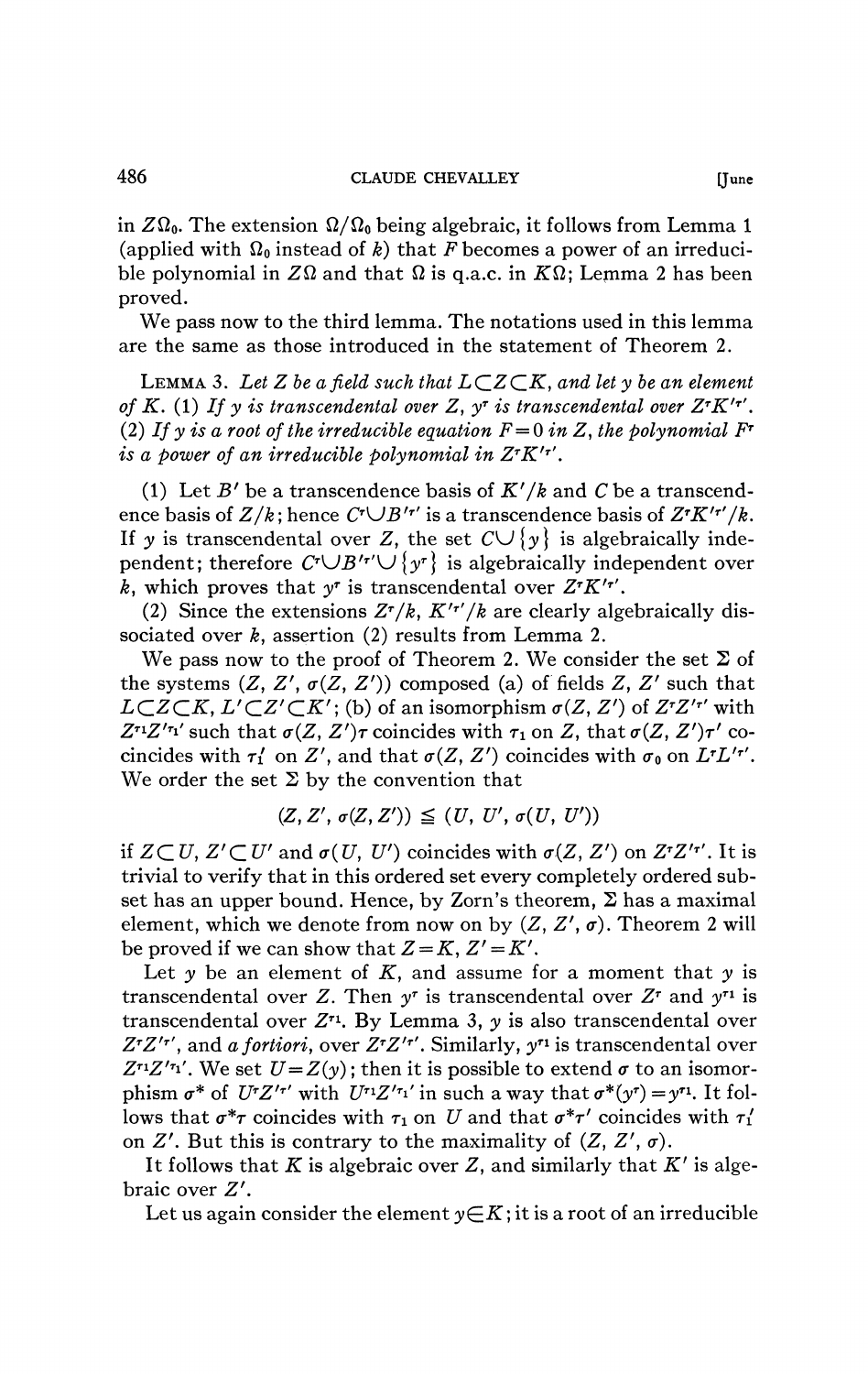in  $Z\Omega_0$ . The extension  $\Omega/\Omega_0$  being algebraic, it follows from Lemma 1 (applied with  $\Omega_0$  instead of *k*) that *F* becomes a power of an irreducible polynomial in  $Z\Omega$  and that  $\Omega$  is q.a.c. in  $K\Omega$ ; Lemma 2 has been proved.

We pass now to the third lemma. The notations used in this lemma are the same as those introduced in the statement of Theorem 2.

LEMMA 3. Let Z be a field such that  $L\subset Z\subset K$ , and let y be an element *of K.* (1) If y is transcendental over Z,  $y^{\dagger}$  is transcendental over  $Z^{\dagger}K^{\dagger}$ . (2) If y is a root of the irreducible equation  $F = 0$  in Z, the polynomial  $F^{\dagger}$ *is a power of an irreducible polynomial in*  $Z^{\tau}K^{\prime\tau'}$ *.* 

(1) Let *B'* be a transcendence basis of *K'/k* and *C* be a transcendence basis of  $Z/k$ ; hence  $C^{\dagger} \cup B'^{\dagger}$  is a transcendence basis of  $Z^{\dagger}K'^{\dagger}/k$ . If y is transcendental over Z, the set  $C \cup \{y\}$  is algebraically independent; therefore  $C^{\dagger} \cup B^{\prime}$ <sup>*r*</sup> $\setminus$   $\{y^r\}$  is algebraically independent over *k*, which proves that  $y^r$  is transcendental over  $Z^r K'^{r'}$ .

(2) Since the extensions  $Z^r/k$ ,  $K'^{r'}/k$  are clearly algebraically dissociated over *k<sup>f</sup>* assertion (2) results from Lemma 2.

We pass now to the proof of Theorem 2. We consider the set  $\Sigma$  of the systems  $(Z, Z', \sigma(Z, Z'))$  composed (a) of fields Z, Z' such that  $L\subset Z\subset K$ ,  $L'\subset Z'\subset K'$ ; (b) of an isomorphism  $\sigma(Z, Z')$  of  $Z^rZ'^r$  with  $Z^{r_1}Z^{r_1}$ ' such that  $\sigma(Z, Z')\tau$  coincides with  $\tau_1$  on Z, that  $\sigma(Z, Z')\tau'$  cocincides with  $\tau_1'$  on Z', and that  $\sigma(Z, Z')$  coincides with  $\sigma_0$  on  $L^r L'^{r'}$ . We order the set  $\Sigma$  by the convention that

$$
(Z, Z', \sigma(Z, Z')) \leq (U, U', \sigma(U, U'))
$$

if  $Z \subset U$ ,  $Z' \subset U'$  and  $\sigma(U, U')$  coincides with  $\sigma(Z, Z')$  on  $Z^{r}Z'^{r'}$ . It is trivial to verify that in this ordered set every completely ordered subset has an upper bound. Hence, by Zorn's theorem,  $\Sigma$  has a maximal element, which we denote from now on by  $(Z, Z', \sigma)$ . Theorem 2 will be proved if we can show that  $Z = K$ ,  $Z' = K'$ .

Let *y* be an element of *K,* and assume for a moment that *y* is transcendental over Z. Then  $y^r$  is transcendental over  $Z^r$  and  $y^{r_1}$  is transcendental over Z<sup>r1</sup>. By Lemma 3, y is also transcendental over *Z T Z'T ',* and *a fortiori,* over *Z<sup>T</sup> Z'T ',* Similarly, y 1 is transcendental over  $Z^{r_1}Z^{r_1}$ . We set  $U = Z(y)$ ; then it is possible to extend  $\sigma$  to an isomorphism  $\sigma^*$  of  $U^T Z'^{r'}$  with  $U^{r_1} Z'^{r_1'}$  in such a way that  $\sigma^*(y^r) = y^{r_1}$ . It follows that  $\sigma^* \tau$  coincides with  $\tau_1$  on *U* and that  $\sigma^* \tau'$  coincides with  $\tau_1'$ on  $Z'$ . But this is contrary to the maximality of  $(Z, Z', \sigma)$ .

It follows that  $K$  is algebraic over  $Z$ , and similarly that  $K'$  is algebraic over *Z'.* 

Let us again consider the element  $y \in K$ ; it is a root of an irreducible